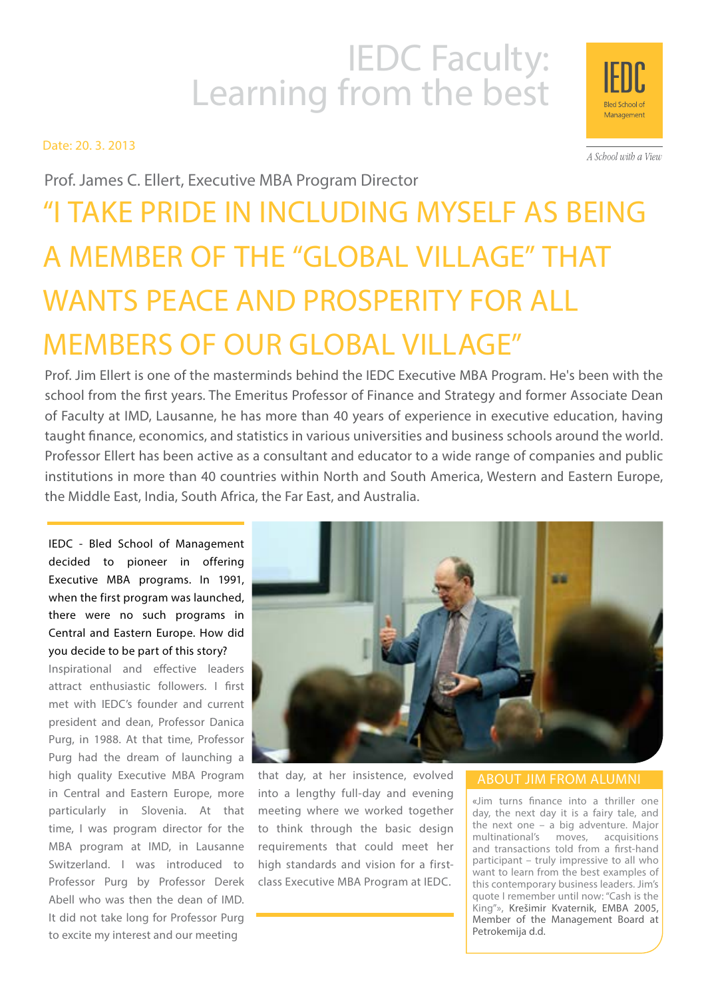# IEDC Faculty:<br>Learning from the best

Date: 20. 3. 2013

Management

A School with a View

Prof. James C. Ellert, Executive MBA Program Director

# "I take pride in including myself as being a member of the "global village" that wants peace and prosperity for all members of our global village"

Prof. Jim Ellert is one of the masterminds behind the IEDC Executive MBA Program. He's been with the school from the first years. The Emeritus Professor of Finance and Strategy and former Associate Dean of Faculty at IMD, Lausanne, he has more than 40 years of experience in executive education, having taught finance, economics, and statistics in various universities and business schools around the world. Professor Ellert has been active as a consultant and educator to a wide range of companies and public institutions in more than 40 countries within North and South America, Western and Eastern Europe, the Middle East, India, South Africa, the Far East, and Australia.

IEDC - Bled School of Management decided to pioneer in offering Executive MBA programs. In 1991, when the first program was launched, there were no such programs in Central and Eastern Europe. How did you decide to be part of this story?

Inspirational and effective leaders attract enthusiastic followers. I first met with IEDC's founder and current president and dean, Professor Danica Purg, in 1988. At that time, Professor Purg had the dream of launching a high quality Executive MBA Program in Central and Eastern Europe, more particularly in Slovenia. At that time, I was program director for the MBA program at IMD, in Lausanne Switzerland. I was introduced to Professor Purg by Professor Derek Abell who was then the dean of IMD. It did not take long for Professor Purg to excite my interest and our meeting



that day, at her insistence, evolved into a lengthy full-day and evening meeting where we worked together to think through the basic design requirements that could meet her high standards and vision for a firstclass Executive MBA Program at IEDC.

#### ABOUT JIM FROM ALUMNI

«Jim turns finance into a thriller one day, the next day it is a fairy tale, and the next one – a big adventure. Major multinational's moves, acquisitions and transactions told from a first-hand participant – truly impressive to all who want to learn from the best examples of this contemporary business leaders. Jim's quote I remember until now: "Cash is the King"», Krešimir Kvaternik, EMBA 2005, Member of the Management Board at Petrokemija d.d.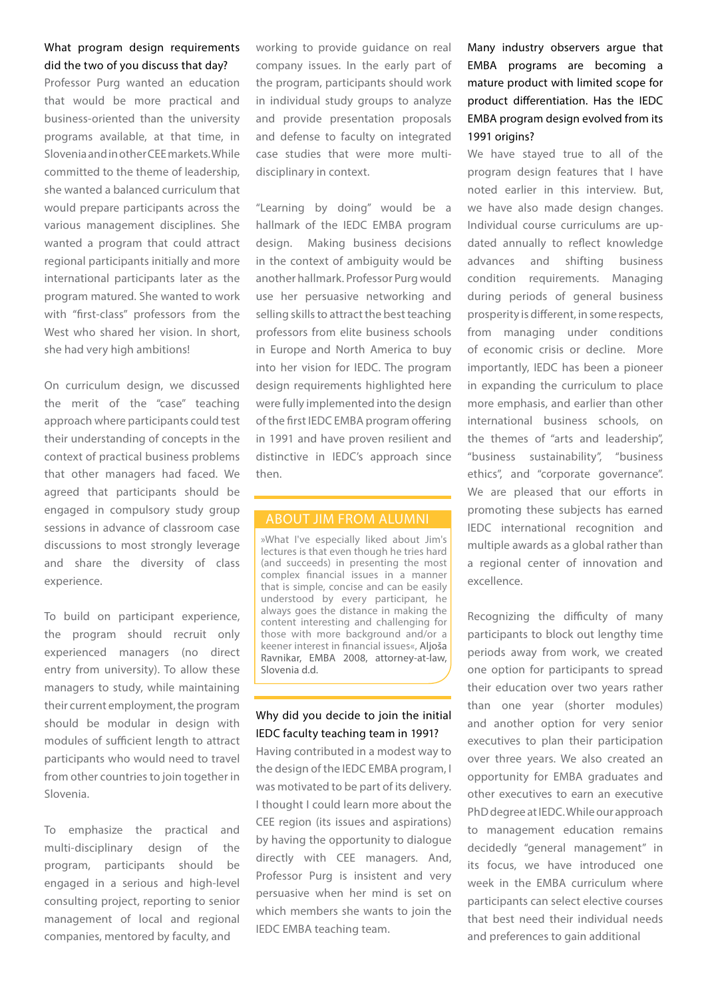#### What program design requirements did the two of you discuss that day?

Professor Purg wanted an education that would be more practical and business-oriented than the university programs available, at that time, in Slovenia and in other CEE markets. While committed to the theme of leadership, she wanted a balanced curriculum that would prepare participants across the various management disciplines. She wanted a program that could attract regional participants initially and more international participants later as the program matured. She wanted to work with "first-class" professors from the West who shared her vision. In short, she had very high ambitions!

On curriculum design, we discussed the merit of the "case" teaching approach where participants could test their understanding of concepts in the context of practical business problems that other managers had faced. We agreed that participants should be engaged in compulsory study group sessions in advance of classroom case discussions to most strongly leverage and share the diversity of class experience.

To build on participant experience, the program should recruit only experienced managers (no direct entry from university). To allow these managers to study, while maintaining their current employment, the program should be modular in design with modules of sufficient length to attract participants who would need to travel from other countries to join together in Slovenia.

To emphasize the practical and multi-disciplinary design of the program, participants should be engaged in a serious and high-level consulting project, reporting to senior management of local and regional companies, mentored by faculty, and

working to provide guidance on real company issues. In the early part of the program, participants should work in individual study groups to analyze and provide presentation proposals and defense to faculty on integrated case studies that were more multidisciplinary in context.

"Learning by doing" would be a hallmark of the IEDC EMBA program design. Making business decisions in the context of ambiguity would be another hallmark. Professor Purg would use her persuasive networking and selling skills to attract the best teaching professors from elite business schools in Europe and North America to buy into her vision for IEDC. The program design requirements highlighted here were fully implemented into the design of the first IEDC EMBA program offering in 1991 and have proven resilient and distinctive in IEDC's approach since then.

#### ABOUT JIM FROM ALUMNI

»What I've especially liked about Jim's lectures is that even though he tries hard (and succeeds) in presenting the most complex financial issues in a manner that is simple, concise and can be easily understood by every participant, he always goes the distance in making the content interesting and challenging for those with more background and/or a keener interest in financial issues«, Aljoša Ravnikar, EMBA 2008, attorney-at-law, Slovenia d.d.

#### Why did you decide to join the initial IEDC faculty teaching team in 1991?

Having contributed in a modest way to the design of the IEDC EMBA program, I was motivated to be part of its delivery. I thought I could learn more about the CEE region (its issues and aspirations) by having the opportunity to dialogue directly with CEE managers. And, Professor Purg is insistent and very persuasive when her mind is set on which members she wants to join the IEDC EMBA teaching team.

Many industry observers argue that EMBA programs are becoming a mature product with limited scope for product differentiation. Has the IEDC EMBA program design evolved from its 1991 origins?

We have stayed true to all of the program design features that I have noted earlier in this interview. But, we have also made design changes. Individual course curriculums are updated annually to reflect knowledge advances and shifting business condition requirements. Managing during periods of general business prosperity is different, in some respects, from managing under conditions of economic crisis or decline. More importantly, IEDC has been a pioneer in expanding the curriculum to place more emphasis, and earlier than other international business schools, on the themes of "arts and leadership", "business sustainability", "business ethics", and "corporate governance". We are pleased that our efforts in promoting these subjects has earned IEDC international recognition and multiple awards as a global rather than a regional center of innovation and excellence.

Recognizing the difficulty of many participants to block out lengthy time periods away from work, we created one option for participants to spread their education over two years rather than one year (shorter modules) and another option for very senior executives to plan their participation over three years. We also created an opportunity for EMBA graduates and other executives to earn an executive PhD degree at IEDC. While our approach to management education remains decidedly "general management" in its focus, we have introduced one week in the EMBA curriculum where participants can select elective courses that best need their individual needs and preferences to gain additional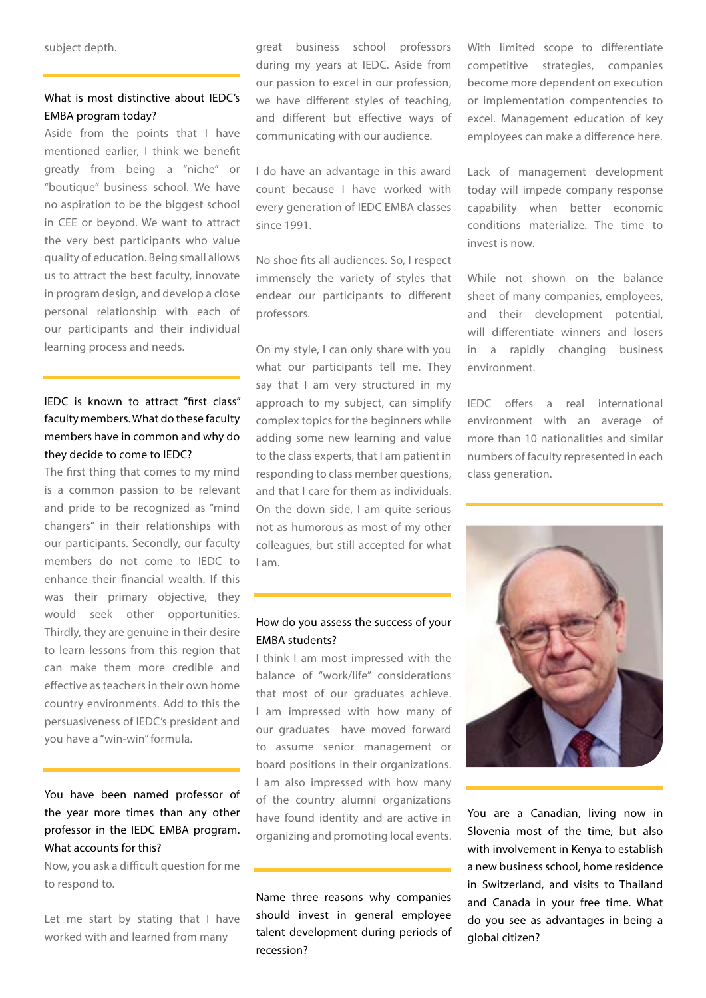subject depth.

### What is most distinctive about IEDC's EMBA program today?

Aside from the points that I have mentioned earlier, I think we benefit greatly from being a "niche" or "boutique" business school. We have no aspiration to be the biggest school in CEE or beyond. We want to attract the very best participants who value quality of education. Being small allows us to attract the best faculty, innovate in program design, and develop a close personal relationship with each of our participants and their individual learning process and needs.

# IEDC is known to attract "first class" faculty members. What do these faculty members have in common and why do they decide to come to IEDC?

The first thing that comes to my mind is a common passion to be relevant and pride to be recognized as "mind changers" in their relationships with our participants. Secondly, our faculty members do not come to IEDC to enhance their financial wealth. If this was their primary objective, they would seek other opportunities. Thirdly, they are genuine in their desire to learn lessons from this region that can make them more credible and effective as teachers in their own home country environments. Add to this the persuasiveness of IEDC's president and you have a "win-win" formula.

# You have been named professor of the year more times than any other professor in the IEDC EMBA program. What accounts for this?

Now, you ask a difficult question for me to respond to.

Let me start by stating that I have worked with and learned from many

great business school professors during my years at IEDC. Aside from our passion to excel in our profession, we have different styles of teaching, and different but effective ways of communicating with our audience.

I do have an advantage in this award count because I have worked with every generation of IEDC EMBA classes since 1991.

No shoe fits all audiences. So, I respect immensely the variety of styles that endear our participants to different professors.

On my style, I can only share with you what our participants tell me. They say that I am very structured in my approach to my subject, can simplify complex topics for the beginners while adding some new learning and value to the class experts, that I am patient in responding to class member questions, and that I care for them as individuals. On the down side, I am quite serious not as humorous as most of my other colleagues, but still accepted for what I am.

#### How do you assess the success of your EMBA students?

I think I am most impressed with the balance of "work/life" considerations that most of our graduates achieve. I am impressed with how many of our graduates have moved forward to assume senior management or board positions in their organizations. I am also impressed with how many of the country alumni organizations have found identity and are active in organizing and promoting local events.

Name three reasons why companies should invest in general employee talent development during periods of recession?

With limited scope to differentiate competitive strategies, companies become more dependent on execution or implementation compentencies to excel. Management education of key employees can make a difference here.

Lack of management development today will impede company response capability when better economic conditions materialize. The time to invest is now.

While not shown on the balance sheet of many companies, employees, and their development potential, will differentiate winners and losers in a rapidly changing business environment.

IEDC offers a real international environment with an average of more than 10 nationalities and similar numbers of faculty represented in each class generation.



You are a Canadian, living now in Slovenia most of the time, but also with involvement in Kenya to establish a new business school, home residence in Switzerland, and visits to Thailand and Canada in your free time. What do you see as advantages in being a global citizen?